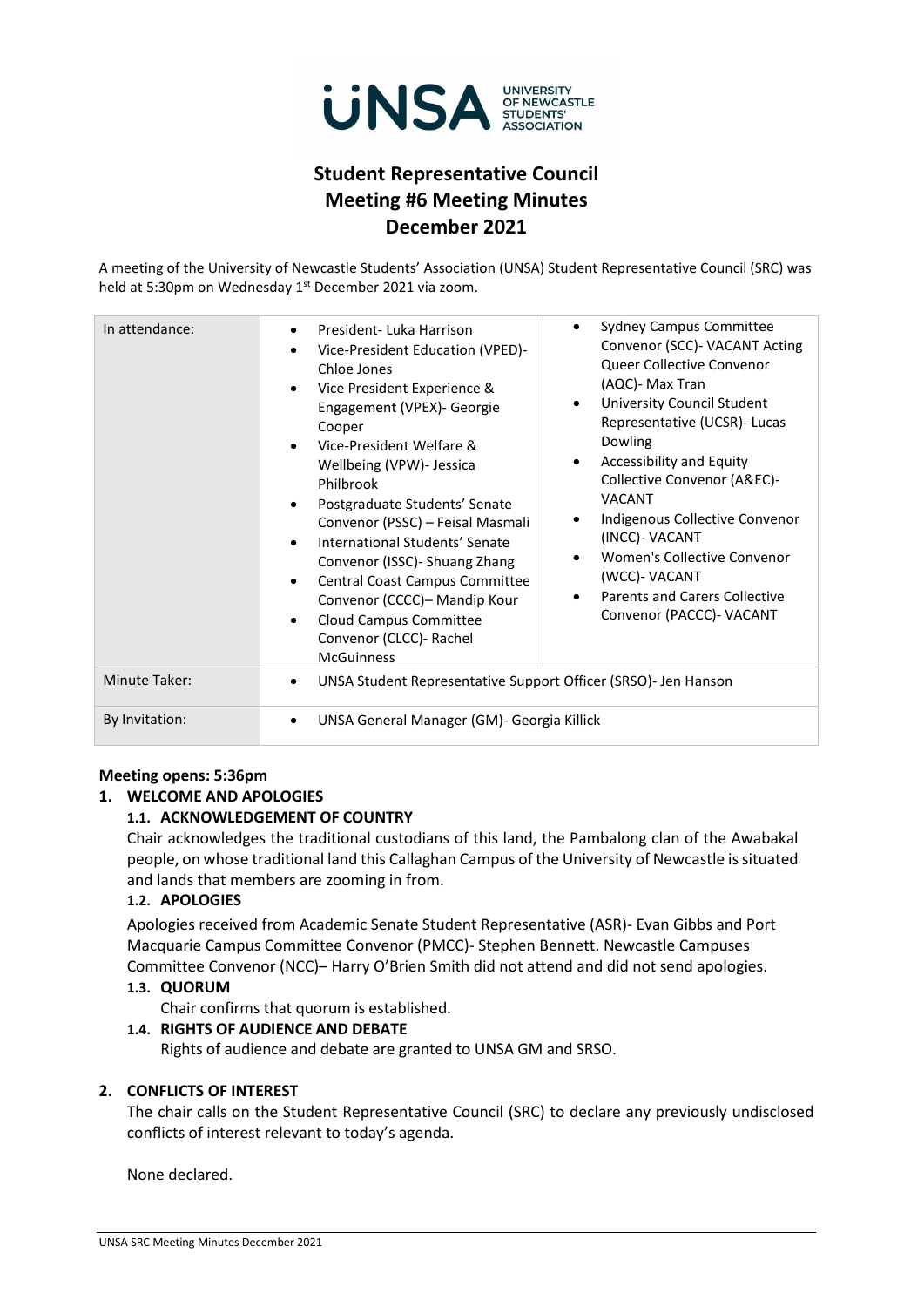

# **Student Representative Council Meeting #6 Meeting Minutes December 2021**

A meeting of the University of Newcastle Students' Association (UNSA) Student Representative Council (SRC) was held at 5:30pm on Wednesday 1<sup>st</sup> December 2021 via zoom.

| In attendance: | <b>Sydney Campus Committee</b><br>$\bullet$<br>President-Luka Harrison                                                                                                                                                                                                                                                                                                                                                                                                                                                                                                                                                                                                                                                                                                                                                                                                                                        |
|----------------|---------------------------------------------------------------------------------------------------------------------------------------------------------------------------------------------------------------------------------------------------------------------------------------------------------------------------------------------------------------------------------------------------------------------------------------------------------------------------------------------------------------------------------------------------------------------------------------------------------------------------------------------------------------------------------------------------------------------------------------------------------------------------------------------------------------------------------------------------------------------------------------------------------------|
|                | Convenor (SCC) - VACANT Acting<br>Vice-President Education (VPED)-<br>Queer Collective Convenor<br>Chloe Jones<br>(AQC)- Max Tran<br>Vice President Experience &<br>University Council Student<br>Engagement (VPEX)- Georgie<br>Representative (UCSR)- Lucas<br>Cooper<br>Dowling<br>Vice-President Welfare &<br>Accessibility and Equity<br>Wellbeing (VPW)- Jessica<br>Collective Convenor (A&EC)-<br>Philbrook<br><b>VACANT</b><br>Postgraduate Students' Senate<br>Indigenous Collective Convenor<br>Convenor (PSSC) - Feisal Masmali<br>(INCC)- VACANT<br>International Students' Senate<br>Women's Collective Convenor<br>Convenor (ISSC) - Shuang Zhang<br>(WCC)- VACANT<br>Central Coast Campus Committee<br><b>Parents and Carers Collective</b><br>Convenor (CCCC) – Mandip Kour<br>Convenor (PACCC)- VACANT<br>Cloud Campus Committee<br>$\bullet$<br>Convenor (CLCC)- Rachel<br><b>McGuinness</b> |
| Minute Taker:  | UNSA Student Representative Support Officer (SRSO)- Jen Hanson                                                                                                                                                                                                                                                                                                                                                                                                                                                                                                                                                                                                                                                                                                                                                                                                                                                |
| By Invitation: | UNSA General Manager (GM)- Georgia Killick                                                                                                                                                                                                                                                                                                                                                                                                                                                                                                                                                                                                                                                                                                                                                                                                                                                                    |

## **Meeting opens: 5:36pm**

# **1. WELCOME AND APOLOGIES**

# **1.1. ACKNOWLEDGEMENT OF COUNTRY**

Chair acknowledges the traditional custodians of this land, the Pambalong clan of the Awabakal people, on whose traditional land this Callaghan Campus of the University of Newcastle is situated and lands that members are zooming in from.

## **1.2. APOLOGIES**

Apologies received from Academic Senate Student Representative (ASR)- Evan Gibbs and Port Macquarie Campus Committee Convenor (PMCC)- Stephen Bennett. Newcastle Campuses Committee Convenor (NCC)– Harry O'Brien Smith did not attend and did not send apologies.

# **1.3. QUORUM**

Chair confirms that quorum is established.

## **1.4. RIGHTS OF AUDIENCE AND DEBATE**

Rights of audience and debate are granted to UNSA GM and SRSO.

## **2. CONFLICTS OF INTEREST**

The chair calls on the Student Representative Council (SRC) to declare any previously undisclosed conflicts of interest relevant to today's agenda.

None declared.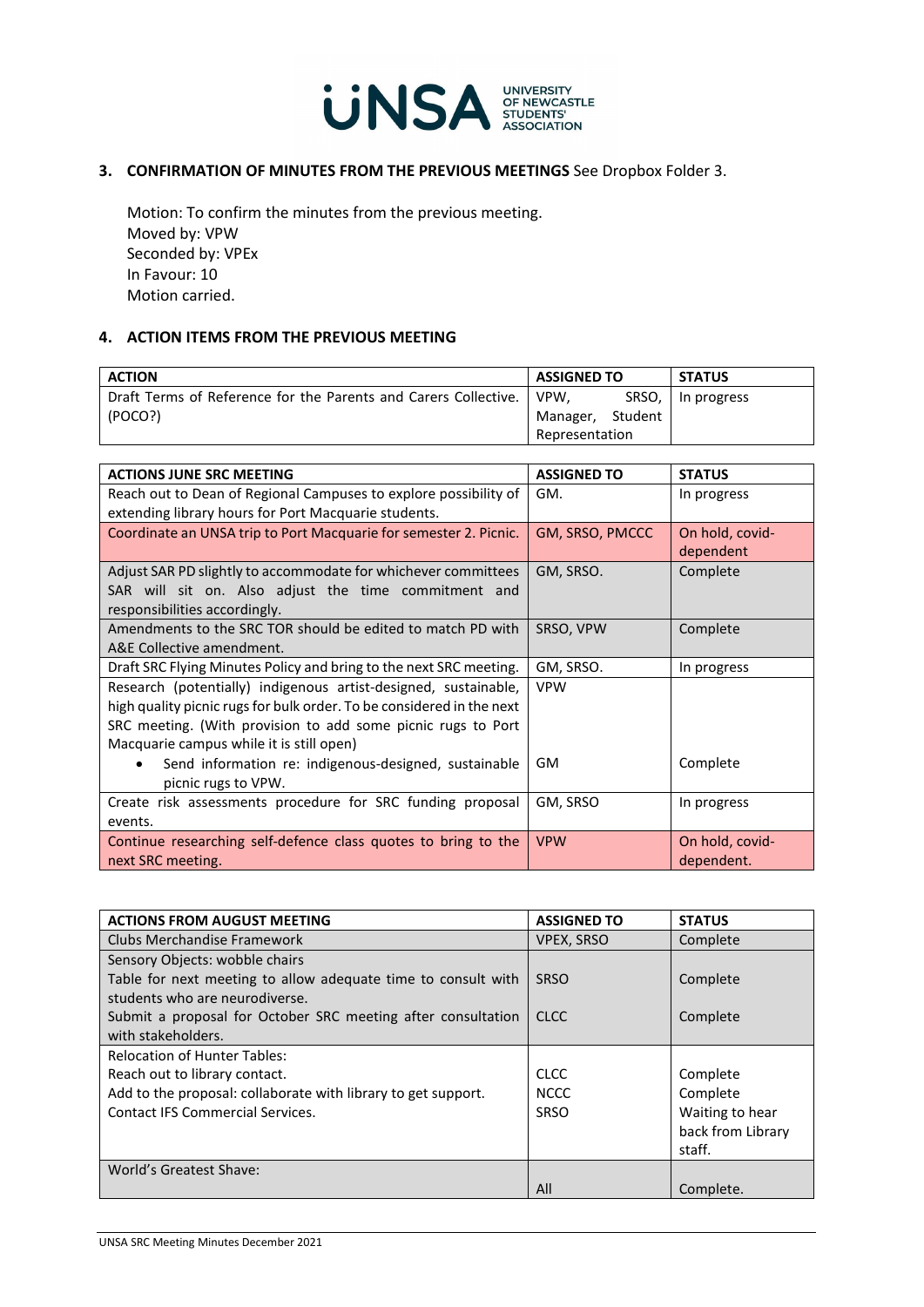

# **3. CONFIRMATION OF MINUTES FROM THE PREVIOUS MEETINGS** See Dropbox Folder 3.

Motion: To confirm the minutes from the previous meeting. Moved by: VPW Seconded by: VPEx In Favour: 10 Motion carried.

# **4. ACTION ITEMS FROM THE PREVIOUS MEETING**

| <b>ACTION</b>                                                          | <b>ASSIGNED TO</b> |       | <b>STATUS</b> |
|------------------------------------------------------------------------|--------------------|-------|---------------|
| Draft Terms of Reference for the Parents and Carers Collective.   VPW, |                    | SRSO, | In progress   |
| (POCO?)                                                                | Manager, Student   |       |               |
|                                                                        | Representation     |       |               |

| <b>ACTIONS JUNE SRC MEETING</b>                                       | <b>ASSIGNED TO</b> | <b>STATUS</b>   |
|-----------------------------------------------------------------------|--------------------|-----------------|
| Reach out to Dean of Regional Campuses to explore possibility of      | GM.                | In progress     |
| extending library hours for Port Macquarie students.                  |                    |                 |
| Coordinate an UNSA trip to Port Macquarie for semester 2. Picnic.     | GM, SRSO, PMCCC    | On hold, covid- |
|                                                                       |                    | dependent       |
| Adjust SAR PD slightly to accommodate for whichever committees        | GM, SRSO.          | Complete        |
| SAR will sit on. Also adjust the time commitment and                  |                    |                 |
| responsibilities accordingly.                                         |                    |                 |
| Amendments to the SRC TOR should be edited to match PD with           | SRSO, VPW          | Complete        |
| A&E Collective amendment.                                             |                    |                 |
| Draft SRC Flying Minutes Policy and bring to the next SRC meeting.    | GM, SRSO.          | In progress     |
| Research (potentially) indigenous artist-designed, sustainable,       | <b>VPW</b>         |                 |
| high quality picnic rugs for bulk order. To be considered in the next |                    |                 |
| SRC meeting. (With provision to add some picnic rugs to Port          |                    |                 |
| Macquarie campus while it is still open)                              |                    |                 |
| Send information re: indigenous-designed, sustainable                 | <b>GM</b>          | Complete        |
| picnic rugs to VPW.                                                   |                    |                 |
| Create risk assessments procedure for SRC funding proposal            | GM, SRSO           | In progress     |
| events.                                                               |                    |                 |
| Continue researching self-defence class quotes to bring to the        | <b>VPW</b>         | On hold, covid- |
| next SRC meeting.                                                     |                    | dependent.      |

| <b>ACTIONS FROM AUGUST MEETING</b>                            | <b>ASSIGNED TO</b> | <b>STATUS</b>     |
|---------------------------------------------------------------|--------------------|-------------------|
| Clubs Merchandise Framework                                   | <b>VPEX, SRSO</b>  | Complete          |
| Sensory Objects: wobble chairs                                |                    |                   |
| Table for next meeting to allow adequate time to consult with | <b>SRSO</b>        | Complete          |
| students who are neurodiverse.                                |                    |                   |
| Submit a proposal for October SRC meeting after consultation  | <b>CLCC</b>        | Complete          |
| with stakeholders.                                            |                    |                   |
| <b>Relocation of Hunter Tables:</b>                           |                    |                   |
| Reach out to library contact.                                 | <b>CLCC</b>        | Complete          |
| Add to the proposal: collaborate with library to get support. | <b>NCCC</b>        | Complete          |
| Contact IFS Commercial Services.                              | <b>SRSO</b>        | Waiting to hear   |
|                                                               |                    | back from Library |
|                                                               |                    | staff.            |
| World's Greatest Shave:                                       |                    |                   |
|                                                               | All                | Complete.         |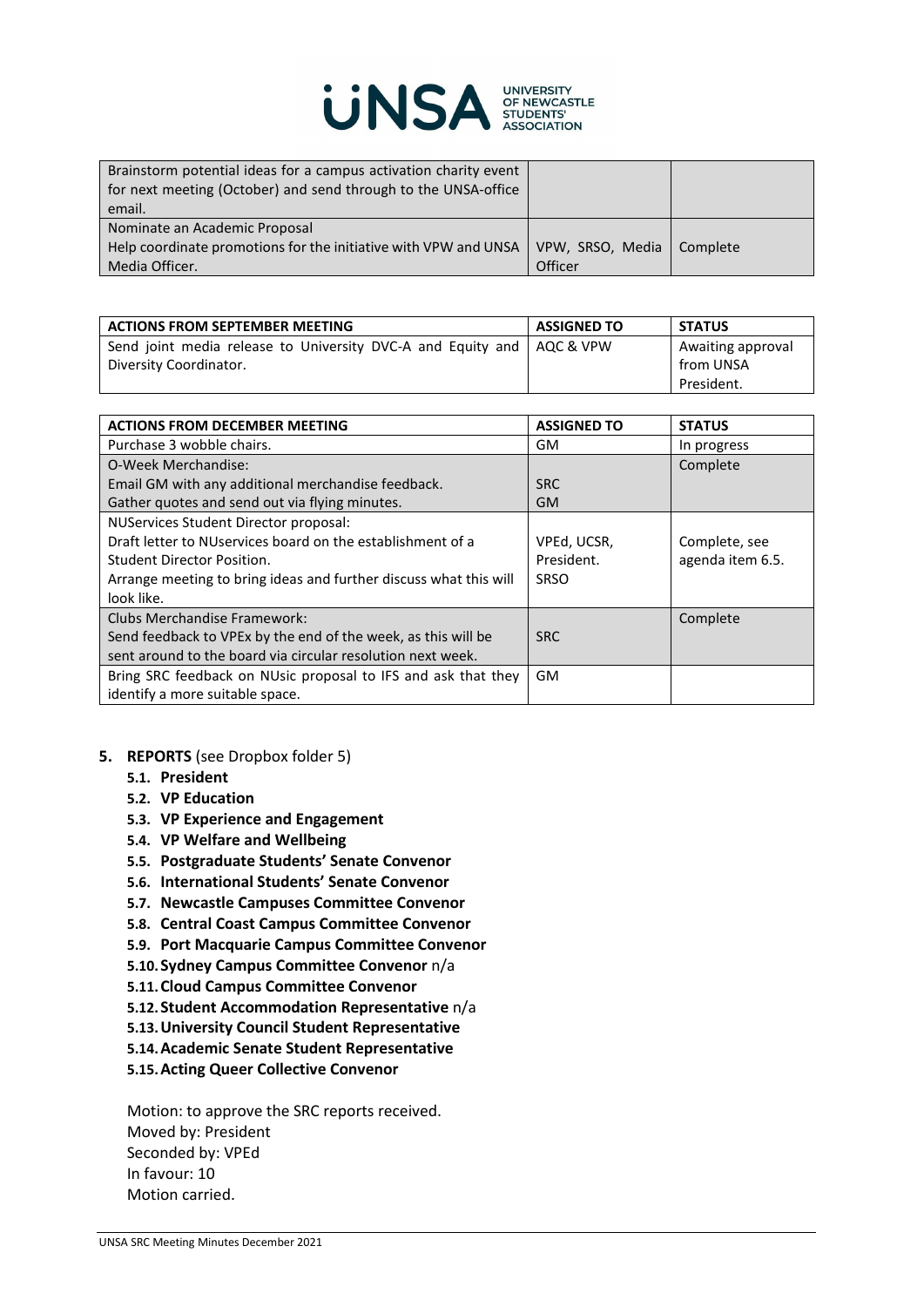

| Brainstorm potential ideas for a campus activation charity event<br>for next meeting (October) and send through to the UNSA-office<br>email. |                  |          |
|----------------------------------------------------------------------------------------------------------------------------------------------|------------------|----------|
| Nominate an Academic Proposal                                                                                                                |                  |          |
| Help coordinate promotions for the initiative with VPW and UNSA                                                                              | VPW, SRSO, Media | Complete |
| Media Officer.                                                                                                                               | Officer          |          |

| <b>ACTIONS FROM SEPTEMBER MEETING</b>                       | <b>ASSIGNED TO</b> | <b>STATUS</b>     |
|-------------------------------------------------------------|--------------------|-------------------|
| Send joint media release to University DVC-A and Equity and | LAQC & VPW         | Awaiting approval |
| Diversity Coordinator.                                      |                    | from UNSA         |
|                                                             |                    | President.        |

| <b>ACTIONS FROM DECEMBER MEETING</b>                              | <b>ASSIGNED TO</b> | <b>STATUS</b>    |
|-------------------------------------------------------------------|--------------------|------------------|
| Purchase 3 wobble chairs.                                         | GM                 | In progress      |
| O-Week Merchandise:                                               |                    | Complete         |
| Email GM with any additional merchandise feedback.                | <b>SRC</b>         |                  |
| Gather quotes and send out via flying minutes.                    | <b>GM</b>          |                  |
| NUServices Student Director proposal:                             |                    |                  |
| Draft letter to NUservices board on the establishment of a        | VPEd, UCSR,        | Complete, see    |
| Student Director Position.                                        | President.         | agenda item 6.5. |
| Arrange meeting to bring ideas and further discuss what this will | <b>SRSO</b>        |                  |
| look like.                                                        |                    |                  |
| Clubs Merchandise Framework:                                      |                    | Complete         |
| Send feedback to VPEx by the end of the week, as this will be     | <b>SRC</b>         |                  |
| sent around to the board via circular resolution next week.       |                    |                  |
| Bring SRC feedback on NUsic proposal to IFS and ask that they     | <b>GM</b>          |                  |
| identify a more suitable space.                                   |                    |                  |

- **5. REPORTS** (see Dropbox folder 5)
	- **5.1. President**
	- **5.2. VP Education**
	- **5.3. VP Experience and Engagement**
	- **5.4. VP Welfare and Wellbeing**
	- **5.5. Postgraduate Students' Senate Convenor**
	- **5.6. International Students' Senate Convenor**
	- **5.7. Newcastle Campuses Committee Convenor**
	- **5.8. Central Coast Campus Committee Convenor**
	- **5.9. Port Macquarie Campus Committee Convenor**
	- **5.10.Sydney Campus Committee Convenor** n/a
	- **5.11.Cloud Campus Committee Convenor**
	- **5.12.Student Accommodation Representative** n/a
	- **5.13.University Council Student Representative**
	- **5.14.Academic Senate Student Representative**
	- **5.15.Acting Queer Collective Convenor**

Motion: to approve the SRC reports received. Moved by: President Seconded by: VPEd In favour: 10 Motion carried.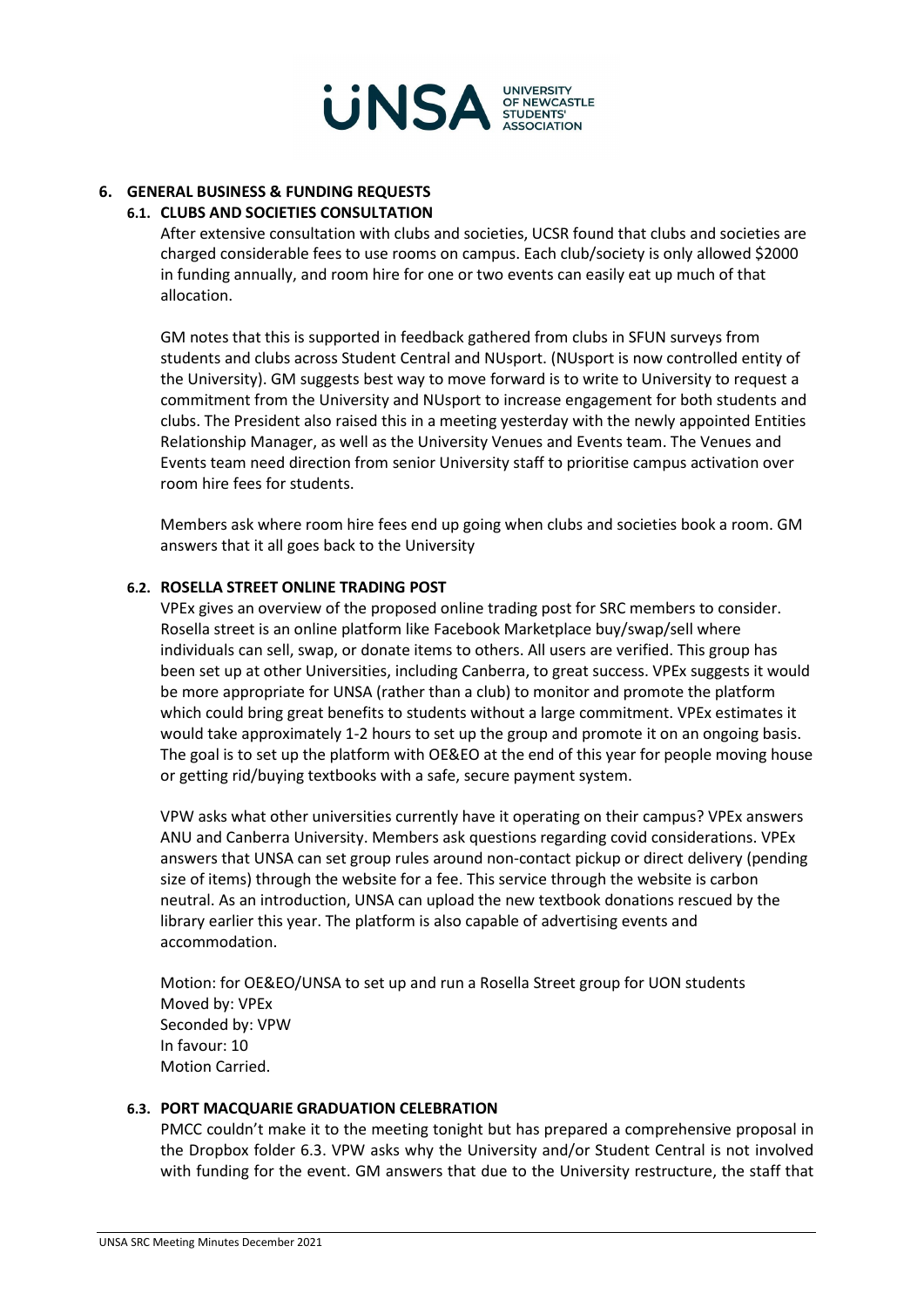

# **6. GENERAL BUSINESS & FUNDING REQUESTS**

## **6.1. CLUBS AND SOCIETIES CONSULTATION**

After extensive consultation with clubs and societies, UCSR found that clubs and societies are charged considerable fees to use rooms on campus. Each club/society is only allowed \$2000 in funding annually, and room hire for one or two events can easily eat up much of that allocation.

GM notes that this is supported in feedback gathered from clubs in SFUN surveys from students and clubs across Student Central and NUsport. (NUsport is now controlled entity of the University). GM suggests best way to move forward is to write to University to request a commitment from the University and NUsport to increase engagement for both students and clubs. The President also raised this in a meeting yesterday with the newly appointed Entities Relationship Manager, as well as the University Venues and Events team. The Venues and Events team need direction from senior University staff to prioritise campus activation over room hire fees for students.

Members ask where room hire fees end up going when clubs and societies book a room. GM answers that it all goes back to the University

#### **6.2. ROSELLA STREET ONLINE TRADING POST**

VPEx gives an overview of the proposed online trading post for SRC members to consider. Rosella street is an online platform like Facebook Marketplace buy/swap/sell where individuals can sell, swap, or donate items to others. All users are verified. This group has been set up at other Universities, including Canberra, to great success. VPEx suggests it would be more appropriate for UNSA (rather than a club) to monitor and promote the platform which could bring great benefits to students without a large commitment. VPEx estimates it would take approximately 1-2 hours to set up the group and promote it on an ongoing basis. The goal is to set up the platform with OE&EO at the end of this year for people moving house or getting rid/buying textbooks with a safe, secure payment system.

VPW asks what other universities currently have it operating on their campus? VPEx answers ANU and Canberra University. Members ask questions regarding covid considerations. VPEx answers that UNSA can set group rules around non-contact pickup or direct delivery (pending size of items) through the website for a fee. This service through the website is carbon neutral. As an introduction, UNSA can upload the new textbook donations rescued by the library earlier this year. The platform is also capable of advertising events and accommodation.

Motion: for OE&EO/UNSA to set up and run a Rosella Street group for UON students Moved by: VPEx Seconded by: VPW In favour: 10 Motion Carried.

#### **6.3. PORT MACQUARIE GRADUATION CELEBRATION**

PMCC couldn't make it to the meeting tonight but has prepared a comprehensive proposal in the Dropbox folder 6.3. VPW asks why the University and/or Student Central is not involved with funding for the event. GM answers that due to the University restructure, the staff that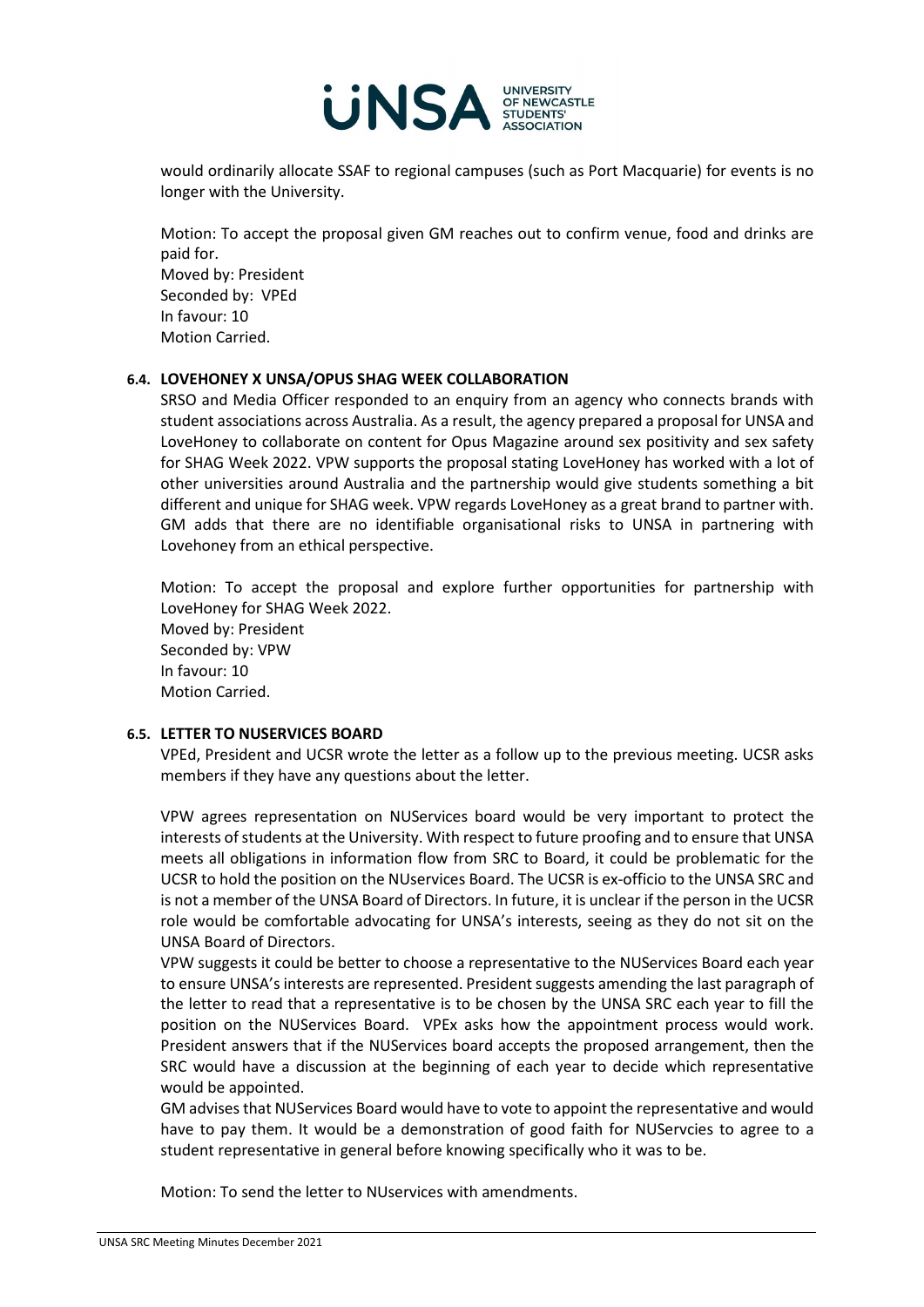

would ordinarily allocate SSAF to regional campuses (such as Port Macquarie) for events is no longer with the University.

Motion: To accept the proposal given GM reaches out to confirm venue, food and drinks are paid for. Moved by: President Seconded by: VPEd In favour: 10 Motion Carried.

# **6.4. LOVEHONEY X UNSA/OPUS SHAG WEEK COLLABORATION**

SRSO and Media Officer responded to an enquiry from an agency who connects brands with student associations across Australia. As a result, the agency prepared a proposal for UNSA and LoveHoney to collaborate on content for Opus Magazine around sex positivity and sex safety for SHAG Week 2022. VPW supports the proposal stating LoveHoney has worked with a lot of other universities around Australia and the partnership would give students something a bit different and unique for SHAG week. VPW regards LoveHoney as a great brand to partner with. GM adds that there are no identifiable organisational risks to UNSA in partnering with Lovehoney from an ethical perspective.

Motion: To accept the proposal and explore further opportunities for partnership with LoveHoney for SHAG Week 2022. Moved by: President Seconded by: VPW In favour: 10 Motion Carried.

## **6.5. LETTER TO NUSERVICES BOARD**

VPEd, President and UCSR wrote the letter as a follow up to the previous meeting. UCSR asks members if they have any questions about the letter.

VPW agrees representation on NUServices board would be very important to protect the interests of students at the University. With respect to future proofing and to ensure that UNSA meets all obligations in information flow from SRC to Board, it could be problematic for the UCSR to hold the position on the NUservices Board. The UCSR is ex-officio to the UNSA SRC and is not a member of the UNSA Board of Directors. In future, it is unclear if the person in the UCSR role would be comfortable advocating for UNSA's interests, seeing as they do not sit on the UNSA Board of Directors.

VPW suggests it could be better to choose a representative to the NUServices Board each year to ensure UNSA's interests are represented. President suggests amending the last paragraph of the letter to read that a representative is to be chosen by the UNSA SRC each year to fill the position on the NUServices Board. VPEx asks how the appointment process would work. President answers that if the NUServices board accepts the proposed arrangement, then the SRC would have a discussion at the beginning of each year to decide which representative would be appointed.

GM advises that NUServices Board would have to vote to appoint the representative and would have to pay them. It would be a demonstration of good faith for NUServcies to agree to a student representative in general before knowing specifically who it was to be.

Motion: To send the letter to NUservices with amendments.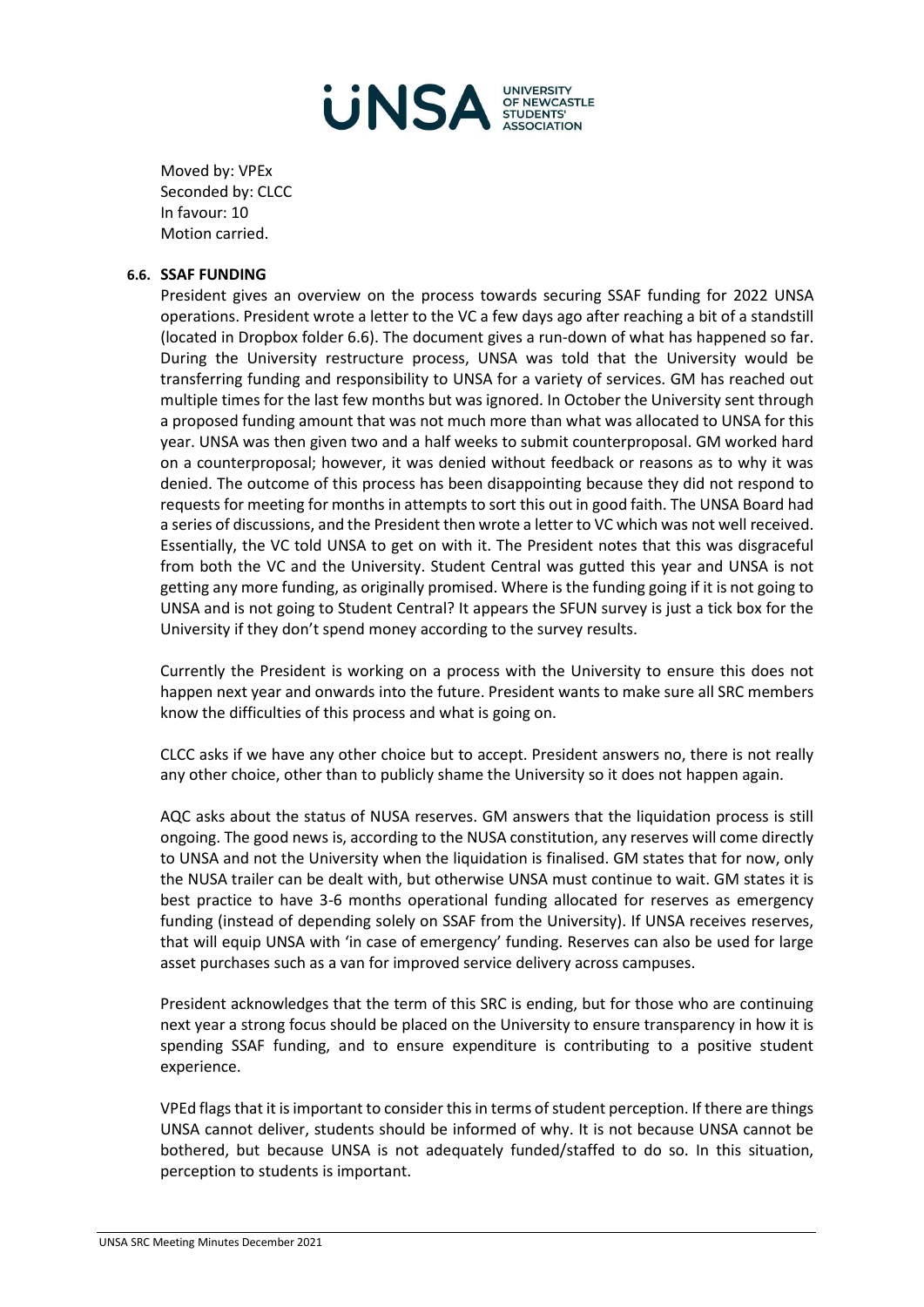

Moved by: VPEx Seconded by: CLCC In favour: 10 Motion carried.

#### **6.6. SSAF FUNDING**

President gives an overview on the process towards securing SSAF funding for 2022 UNSA operations. President wrote a letter to the VC a few days ago after reaching a bit of a standstill (located in Dropbox folder 6.6). The document gives a run-down of what has happened so far. During the University restructure process, UNSA was told that the University would be transferring funding and responsibility to UNSA for a variety of services. GM has reached out multiple times for the last few months but was ignored. In October the University sent through a proposed funding amount that was not much more than what was allocated to UNSA for this year. UNSA was then given two and a half weeks to submit counterproposal. GM worked hard on a counterproposal; however, it was denied without feedback or reasons as to why it was denied. The outcome of this process has been disappointing because they did not respond to requests for meeting for months in attempts to sort this out in good faith. The UNSA Board had a series of discussions, and the President then wrote a letter to VC which was not well received. Essentially, the VC told UNSA to get on with it. The President notes that this was disgraceful from both the VC and the University. Student Central was gutted this year and UNSA is not getting any more funding, as originally promised. Where is the funding going if it is not going to UNSA and is not going to Student Central? It appears the SFUN survey is just a tick box for the University if they don't spend money according to the survey results.

Currently the President is working on a process with the University to ensure this does not happen next year and onwards into the future. President wants to make sure all SRC members know the difficulties of this process and what is going on.

CLCC asks if we have any other choice but to accept. President answers no, there is not really any other choice, other than to publicly shame the University so it does not happen again.

AQC asks about the status of NUSA reserves. GM answers that the liquidation process is still ongoing. The good news is, according to the NUSA constitution, any reserves will come directly to UNSA and not the University when the liquidation is finalised. GM states that for now, only the NUSA trailer can be dealt with, but otherwise UNSA must continue to wait. GM states it is best practice to have 3-6 months operational funding allocated for reserves as emergency funding (instead of depending solely on SSAF from the University). If UNSA receives reserves, that will equip UNSA with 'in case of emergency' funding. Reserves can also be used for large asset purchases such as a van for improved service delivery across campuses.

President acknowledges that the term of this SRC is ending, but for those who are continuing next year a strong focus should be placed on the University to ensure transparency in how it is spending SSAF funding, and to ensure expenditure is contributing to a positive student experience.

VPEd flags that it is important to consider this in terms of student perception. If there are things UNSA cannot deliver, students should be informed of why. It is not because UNSA cannot be bothered, but because UNSA is not adequately funded/staffed to do so. In this situation, perception to students is important.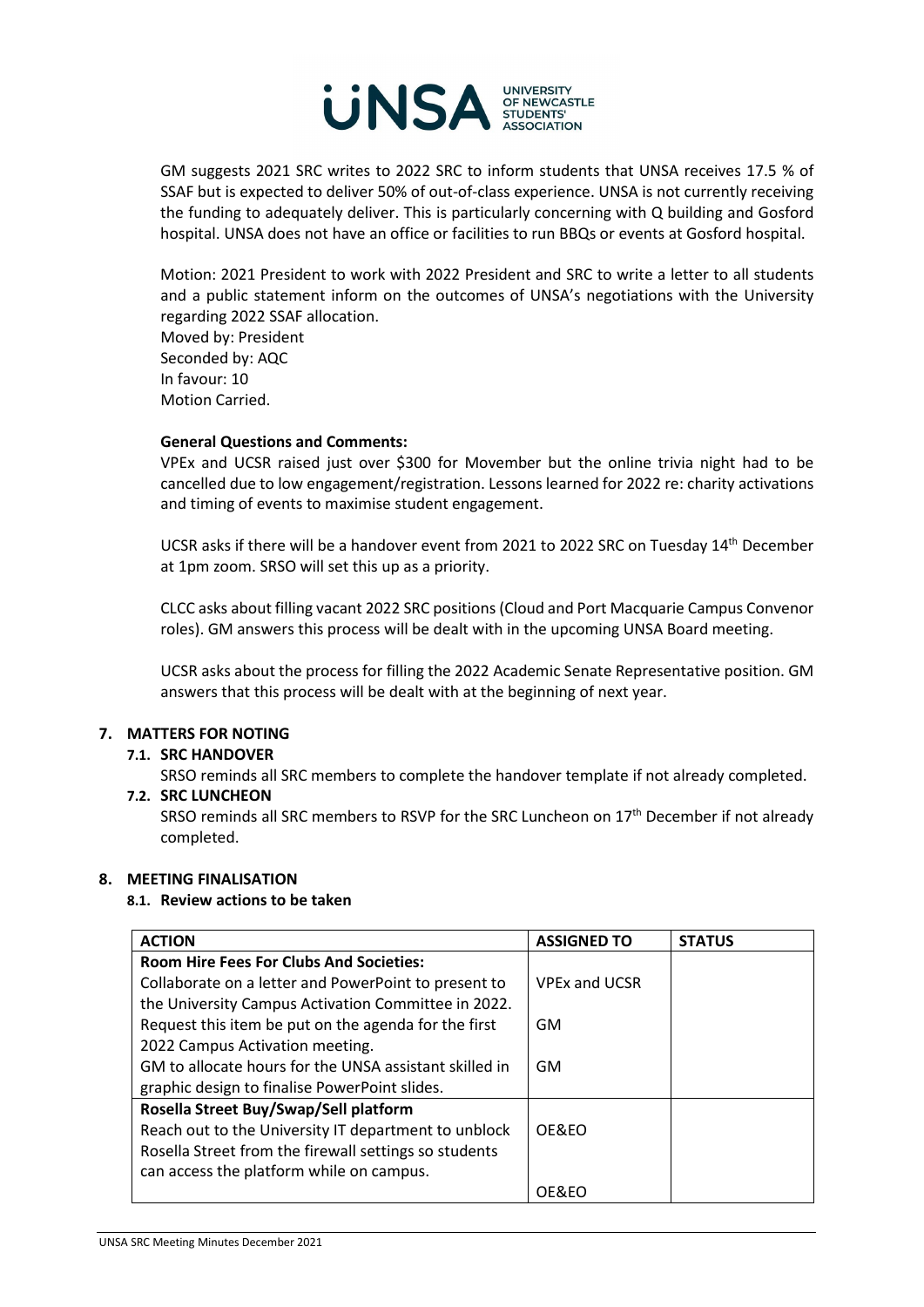

GM suggests 2021 SRC writes to 2022 SRC to inform students that UNSA receives 17.5 % of SSAF but is expected to deliver 50% of out-of-class experience. UNSA is not currently receiving the funding to adequately deliver. This is particularly concerning with Q building and Gosford hospital. UNSA does not have an office or facilities to run BBQs or events at Gosford hospital.

Motion: 2021 President to work with 2022 President and SRC to write a letter to all students and a public statement inform on the outcomes of UNSA's negotiations with the University regarding 2022 SSAF allocation.

Moved by: President Seconded by: AQC In favour: 10 Motion Carried.

## **General Questions and Comments:**

VPEx and UCSR raised just over \$300 for Movember but the online trivia night had to be cancelled due to low engagement/registration. Lessons learned for 2022 re: charity activations and timing of events to maximise student engagement.

UCSR asks if there will be a handover event from 2021 to 2022 SRC on Tuesday 14th December at 1pm zoom. SRSO will set this up as a priority.

CLCC asks about filling vacant 2022 SRC positions (Cloud and Port Macquarie Campus Convenor roles). GM answers this process will be dealt with in the upcoming UNSA Board meeting.

UCSR asks about the process for filling the 2022 Academic Senate Representative position. GM answers that this process will be dealt with at the beginning of next year.

# **7. MATTERS FOR NOTING**

## **7.1. SRC HANDOVER**

SRSO reminds all SRC members to complete the handover template if not already completed.

# **7.2. SRC LUNCHEON**

SRSO reminds all SRC members to RSVP for the SRC Luncheon on 17<sup>th</sup> December if not already completed.

## **8. MEETING FINALISATION**

## **8.1. Review actions to be taken**

| <b>ACTION</b>                                          | <b>ASSIGNED TO</b>   | <b>STATUS</b> |
|--------------------------------------------------------|----------------------|---------------|
| <b>Room Hire Fees For Clubs And Societies:</b>         |                      |               |
| Collaborate on a letter and PowerPoint to present to   | <b>VPEx and UCSR</b> |               |
| the University Campus Activation Committee in 2022.    |                      |               |
| Request this item be put on the agenda for the first   | GM                   |               |
| 2022 Campus Activation meeting.                        |                      |               |
| GM to allocate hours for the UNSA assistant skilled in | GM                   |               |
| graphic design to finalise PowerPoint slides.          |                      |               |
| Rosella Street Buy/Swap/Sell platform                  |                      |               |
| Reach out to the University IT department to unblock   | OF&FO                |               |
| Rosella Street from the firewall settings so students  |                      |               |
| can access the platform while on campus.               |                      |               |
|                                                        | OE&EO                |               |